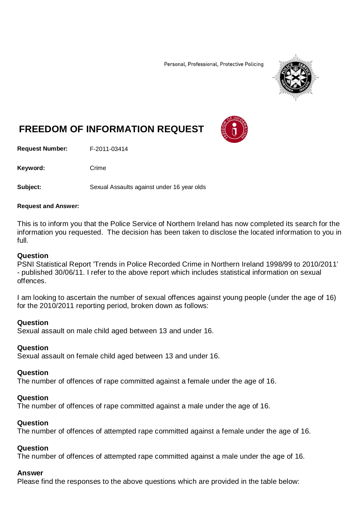Personal, Professional, Protective Policing



# **FREEDOM OF INFORMATION REQUEST**

**Request Number:** F-2011-03414

Keyword: Crime

**Subject:** Sexual Assaults against under 16 year olds

#### **Request and Answer:**

This is to inform you that the Police Service of Northern Ireland has now completed its search for the information you requested. The decision has been taken to disclose the located information to you in full.

#### **Question**

PSNI Statistical Report 'Trends in Police Recorded Crime in Northern Ireland 1998/99 to 2010/2011' - published 30/06/11. I refer to the above report which includes statistical information on sexual offences.

I am looking to ascertain the number of sexual offences against young people (under the age of 16) for the 2010/2011 reporting period, broken down as follows:

#### **Question**

Sexual assault on male child aged between 13 and under 16.

## **Question**

Sexual assault on female child aged between 13 and under 16.

## **Question**

The number of offences of rape committed against a female under the age of 16.

## **Question**

The number of offences of rape committed against a male under the age of 16.

# **Question**

The number of offences of attempted rape committed against a female under the age of 16.

## **Question**

The number of offences of attempted rape committed against a male under the age of 16.

# **Answer**

Please find the responses to the above questions which are provided in the table below: